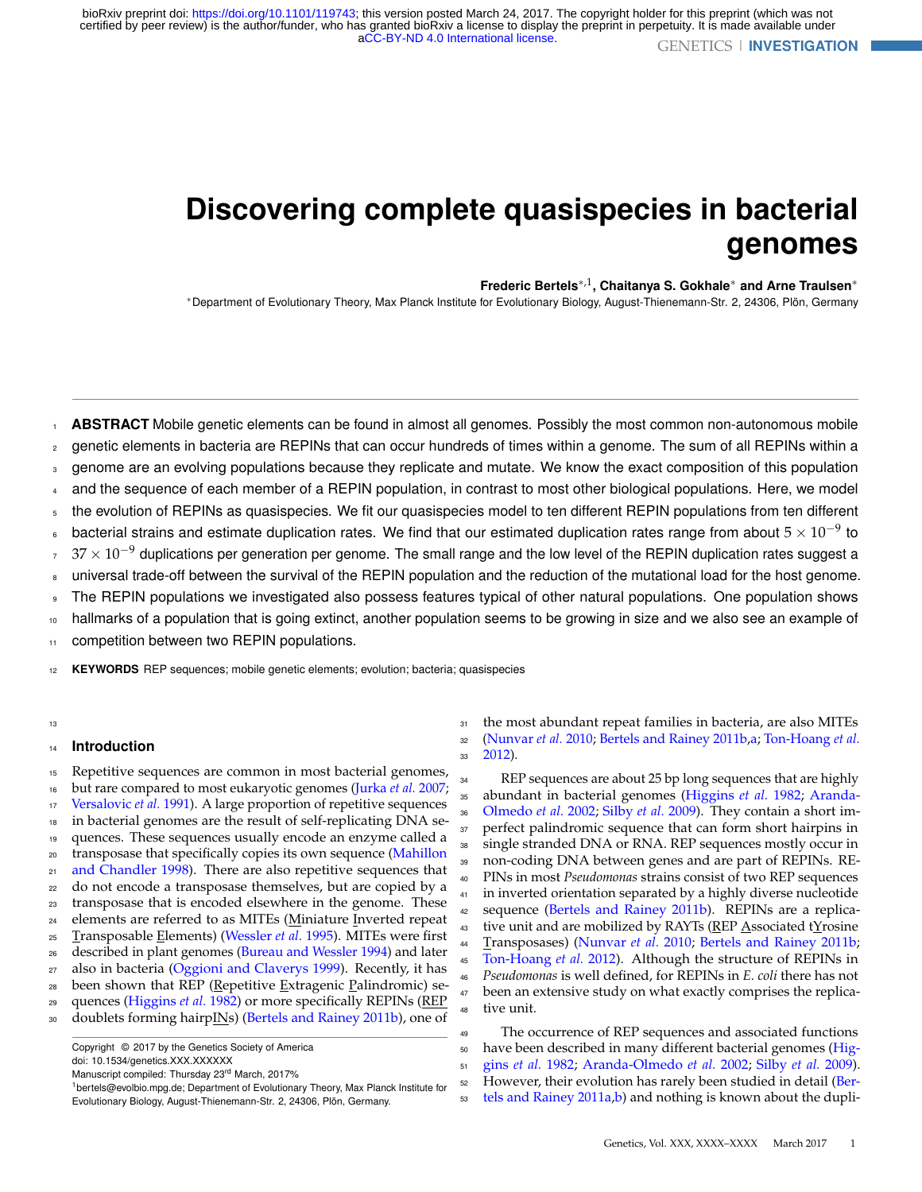# <span id="page-0-0"></span>**Discovering complete quasispecies in bacterial genomes**

#### **Frederic Bertels**∗,1**, Chaitanya S. Gokhale**<sup>∗</sup> **and Arne Traulsen**<sup>∗</sup>

<sup>∗</sup>Department of Evolutionary Theory, Max Planck Institute for Evolutionary Biology, August-Thienemann-Str. 2, 24306, Plön, Germany

**ABSTRACT** Mobile genetic elements can be found in almost all genomes. Possibly the most common non-autonomous mobile genetic elements in bacteria are REPINs that can occur hundreds of times within a genome. The sum of all REPINs within a genome are an evolving populations because they replicate and mutate. We know the exact composition of this population and the sequence of each member of a REPIN population, in contrast to most other biological populations. Here, we model the evolution of REPINs as quasispecies. We fit our quasispecies model to ten different REPIN populations from ten different bacterial strains and estimate duplication rates. We find that our estimated duplication rates range from about 5  $\times$   $10^{-9}$  to  $37\times10^{-9}$  duplications per generation per genome. The small range and the low level of the REPIN duplication rates suggest a universal trade-off between the survival of the REPIN population and the reduction of the mutational load for the host genome. The REPIN populations we investigated also possess features typical of other natural populations. One population shows hallmarks of a population that is going extinct, another population seems to be growing in size and we also see an example of competition between two REPIN populations. 1 2 3 4 5 6 7 8  $\alpha$ 10 11

<sup>12</sup> **KEYWORDS** REP sequences; mobile genetic elements; evolution; bacteria; quasispecies

#### 13

# <sup>14</sup> **Introduction**

 Repetitive sequences are common in most bacterial genomes, but rare compared to most eukaryotic genomes [\(Jurka](#page-7-0) *et al.* [2007;](#page-7-0) [Versalovic](#page-8-0) *et al.* [1991\)](#page-8-0). A large proportion of repetitive sequences in bacterial genomes are the result of self-replicating DNA se- quences. These sequences usually encode an enzyme called a 20 [t](#page-7-1)ransposase that specifically copies its own sequence [\(Mahillon](#page-7-1) [and Chandler 1998\)](#page-7-1). There are also repetitive sequences that do not encode a transposase themselves, but are copied by a transposase that is encoded elsewhere in the genome. These 24 elements are referred to as MITEs (Miniature Inverted repeat Transposable Elements) [\(Wessler](#page-8-1) *et al.* [1995\)](#page-8-1). MITEs were first described in plant genomes [\(Bureau and Wessler 1994\)](#page-7-2) and later 27 also in bacteria [\(Oggioni and Claverys 1999\)](#page-8-2). Recently, it has been shown that REP (Repetitive Extragenic Palindromic) se- quences [\(Higgins](#page-7-3) *et al.* [1982\)](#page-7-3) or more specifically REPINs (REP 30 doublets forming hairpINs) [\(Bertels and Rainey 2011b\)](#page-7-4), one of

Copyright © 2017 by the Genetics Society of America doi: 10.1534/genetics.XXX.XXXXXX

Manuscript compiled: Thursday 23rd March, 2017%

<sup>1</sup>bertels@evolbio.mpg.de; Department of Evolutionary Theory, Max Planck Institute for Evolutionary Biology, August-Thienemann-Str. 2, 24306, Plön, Germany.

<sup>31</sup> the most abundant repeat families in bacteria, are also MITEs <sup>32</sup> [\(Nunvar](#page-7-5) *et al.* [2010;](#page-7-5) [Bertels and Rainey 2011b](#page-7-4)[,a;](#page-7-6) [Ton-Hoang](#page-8-3) *et al.* <sup>33</sup> [2012\)](#page-8-3).

 REP sequences are about 25 bp long sequences that are highly [a](#page-7-7)bundant in bacterial genomes [\(Higgins](#page-7-3) *et al.* [1982;](#page-7-3) [Aranda-](#page-7-7) [Olmedo](#page-7-7) *et al.* [2002;](#page-7-7) [Silby](#page-8-4) *et al.* [2009\)](#page-8-4). They contain a short im-37 perfect palindromic sequence that can form short hairpins in single stranded DNA or RNA. REP sequences mostly occur in non-coding DNA between genes and are part of REPINs. RE- PINs in most *Pseudomonas* strains consist of two REP sequences in inverted orientation separated by a highly diverse nucleotide 42 sequence [\(Bertels and Rainey 2011b\)](#page-7-4). REPINs are a replica-43 tive unit and are mobilized by RAYTs (REP Associated tYrosine Transposases) [\(Nunvar](#page-7-5) *et al.* [2010;](#page-7-5) [Bertels and Rainey 2011b;](#page-7-4) [Ton-Hoang](#page-8-3) *et al.* [2012\)](#page-8-3). Although the structure of REPINs in *Pseudomonas* is well defined, for REPINs in *E. coli* there has not been an extensive study on what exactly comprises the replica-tive unit.

 The occurrence of REP sequences and associated functions [h](#page-7-3)ave been described in many different bacterial genomes [\(Hig-](#page-7-3) gins *[et al.](#page-7-3)* [1982;](#page-7-3) [Aranda-Olmedo](#page-7-7) *et al.* [2002;](#page-7-7) [Silby](#page-8-4) *et al.* [2009\)](#page-8-4). 52 [H](#page-7-6)owever, their evolution has rarely been studied in detail [\(Ber](#page-7-6)[tels and Rainey 2011a](#page-7-6)[,b\)](#page-7-4) and nothing is known about the dupli-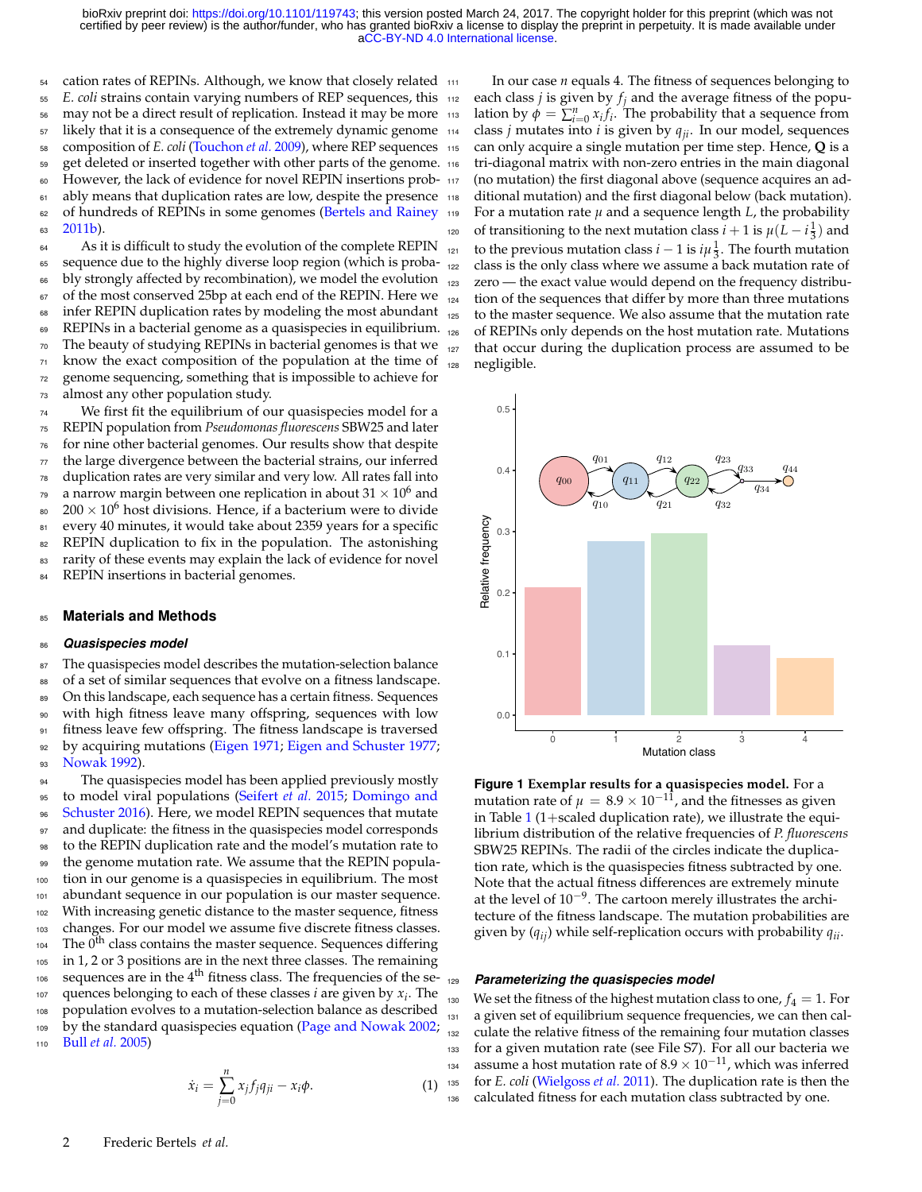54 cation rates of REPINs. Although, we know that closely related 111 <sup>55</sup> *E. coli* strains contain varying numbers of REP sequences, this 56 may not be a direct result of replication. Instead it may be more 113 <sup>57</sup> likely that it is a consequence of the extremely dynamic genome <sup>114</sup> <sup>58</sup> composition of *E. coli* [\(Touchon](#page-8-5) *et al.* [2009\)](#page-8-5), where REP sequences 59 get deleted or inserted together with other parts of the genome. 116 60 However, the lack of evidence for novel REPIN insertions prob- 117 ably means that duplication rates are low, despite the presence  $118$ 62 of hundreds of REPINs in some genomes [\(Bertels and Rainey](#page-7-4) 63 [2011b\)](#page-7-4).

64 As it is difficult to study the evolution of the complete REPIN sequence due to the highly diverse loop region (which is proba- bly strongly affected by recombination), we model the evolution 67 of the most conserved 25bp at each end of the REPIN. Here we infer REPIN duplication rates by modeling the most abundant REPINs in a bacterial genome as a quasispecies in equilibrium. The beauty of studying REPINs in bacterial genomes is that we know the exact composition of the population at the time of genome sequencing, something that is impossible to achieve for almost any other population study.

<sup>74</sup> We first fit the equilibrium of our quasispecies model for a <sup>75</sup> REPIN population from *Pseudomonas fluorescens* SBW25 and later <sup>76</sup> for nine other bacterial genomes. Our results show that despite  $77$  the large divergence between the bacterial strains, our inferred <sup>78</sup> duplication rates are very similar and very low. All rates fall into <sup>79</sup> a narrow margin between one replication in about 31  $\times$  10<sup>6</sup> and 80  $200 \times 10^6$  host divisions. Hence, if a bacterium were to divide 81 every 40 minutes, it would take about 2359 years for a specific 82 REPIN duplication to fix in the population. The astonishing 83 rarity of these events may explain the lack of evidence for novel 84 REPIN insertions in bacterial genomes.

#### <sup>85</sup> **Materials and Methods**

#### <sup>86</sup> *Quasispecies model*

87 The quasispecies model describes the mutation-selection balance of a set of similar sequences that evolve on a fitness landscape. On this landscape, each sequence has a certain fitness. Sequences with high fitness leave many offspring, sequences with low fitness leave few offspring. The fitness landscape is traversed 92 by acquiring mutations [\(Eigen 1971;](#page-7-8) [Eigen and Schuster 1977;](#page-7-9) [Nowak 1992\)](#page-7-10).

94 The quasispecies model has been applied previously mostly [t](#page-7-11)o model viral populations [\(Seifert](#page-8-6) *et al.* [2015;](#page-8-6) [Domingo and](#page-7-11) [Schuster 2016\)](#page-7-11). Here, we model REPIN sequences that mutate and duplicate: the fitness in the quasispecies model corresponds to the REPIN duplication rate and the model's mutation rate to the genome mutation rate. We assume that the REPIN popula- tion in our genome is a quasispecies in equilibrium. The most abundant sequence in our population is our master sequence. With increasing genetic distance to the master sequence, fitness changes. For our model we assume five discrete fitness classes. The  $0<sup>th</sup>$  class contains the master sequence. Sequences differing in 1, 2 or 3 positions are in the next three classes. The remaining sequences are in the  $4<sup>th</sup>$  fitness class. The frequencies of the se- $_{107}$  quences belonging to each of these classes *i* are given by  $x_i$ . The population evolves to a mutation-selection balance as described 109 by the standard quasispecies equation [\(Page and Nowak 2002;](#page-8-7) Bull *[et al.](#page-7-12)* [2005\)](#page-7-12)

$$
\dot{x}_i = \sum_{j=0}^n x_j f_j q_{ji} - x_i \phi.
$$
 (1)

In our case *n* equals 4. The fitness of sequences belonging to each class *j* is given by  $f_i$  and the average fitness of the population by  $\phi = \sum_{i=0}^{n} x_i f_i$ . The probability that a sequence from class *j* mutates into *i* is given by  $q_{ii}$ . In our model, sequences can only acquire a single mutation per time step. Hence, Q is a tri-diagonal matrix with non-zero entries in the main diagonal (no mutation) the first diagonal above (sequence acquires an additional mutation) and the first diagonal below (back mutation).  $119$  For a mutation rate  $\mu$  and a sequence length *L*, the probability of transitioning to the next mutation class  $i + 1$  is  $\mu(L - i\frac{1}{3})$  and to the previous mutation class *i* − 1 is  $i\mu_{\frac{1}{3}}$ . The fourth mutation <sup>122</sup> class is the only class where we assume a back mutation rate of <sup>123</sup> zero — the exact value would depend on the frequency distribu-<sup>124</sup> tion of the sequences that differ by more than three mutations <sup>125</sup> to the master sequence. We also assume that the mutation rate <sup>126</sup> of REPINs only depends on the host mutation rate. Mutations <sup>127</sup> that occur during the duplication process are assumed to be <sup>128</sup> negligible.



**Figure 1 Exemplar results for a quasispecies model.** For a mutation rate of  $\mu = 8.9 \times 10^{-11}$ , and the fitnesses as given in Table [1](#page-4-0) (1+scaled duplication rate), we illustrate the equilibrium distribution of the relative frequencies of *P. fluorescens* SBW25 REPINs. The radii of the circles indicate the duplication rate, which is the quasispecies fitness subtracted by one. Note that the actual fitness differences are extremely minute at the level of 10−<sup>9</sup> . The cartoon merely illustrates the architecture of the fitness landscape. The mutation probabilities are given by (*qij*) while self-replication occurs with probability *qii*.

#### <sup>129</sup> *Parameterizing the quasispecies model*

we set the fitness of the highest mutation class to one,  $f_4 = 1$ . For a given set of equilibrium sequence frequencies, we can then cal- culate the relative fitness of the remaining four mutation classes for a given mutation rate (see File S7). For all our bacteria we assume a host mutation rate of  $8.9 \times 10^{-11}$ , which was inferred for *E. coli* [\(Wielgoss](#page-8-8) *et al.* [2011\)](#page-8-8). The duplication rate is then the calculated fitness for each mutation class subtracted by one.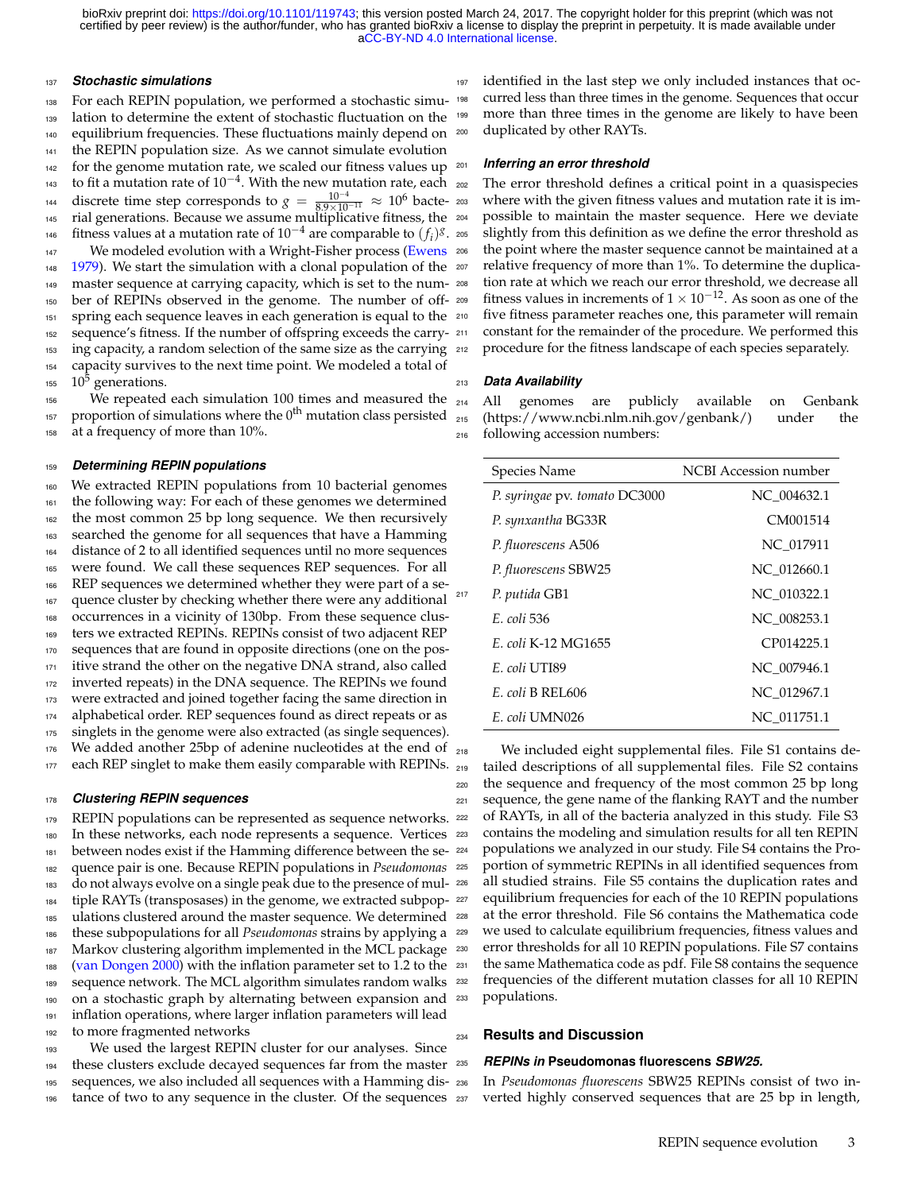#### *Stochastic simulations*

 For each REPIN population, we performed a stochastic simu- lation to determine the extent of stochastic fluctuation on the equilibrium frequencies. These fluctuations mainly depend on the REPIN population size. As we cannot simulate evolution for the genome mutation rate, we scaled our fitness values up  $201$  to fit a mutation rate of  $10^{-4}$ . With the new mutation rate, each discrete time step corresponds to  $g = \frac{10^{-4}}{8.9 \times 10^{-11}} \approx 10^{6}$  bacte- $\frac{1}{10^{-11}}$  ≈  $10^6$  bacte- 203 rial generations. Because we assume multiplicative fitness, the fitness values at a mutation rate of  $10^{-4}$  are comparable to  $(f_i)^g$ . 147 We modeled evolution with a Wright-Fisher process [\(Ewens](#page-7-13) 206 [1979\)](#page-7-13). We start the simulation with a clonal population of the  $207$  master sequence at carrying capacity, which is set to the num- ber of REPINs observed in the genome. The number of off- spring each sequence leaves in each generation is equal to the sequence's fitness. If the number of offspring exceeds the carry- ing capacity, a random selection of the same size as the carrying capacity survives to the next time point. We modeled a total of  $10^5$  generations.

 We repeated each simulation 100 times and measured the  $_{214}$ 157 proportion of simulations where the  $0<sup>th</sup>$  mutation class persisted at a frequency of more than 10%.

### *Determining REPIN populations*

 We extracted REPIN populations from 10 bacterial genomes the following way: For each of these genomes we determined the most common 25 bp long sequence. We then recursively 163 searched the genome for all sequences that have a Hamming distance of 2 to all identified sequences until no more sequences were found. We call these sequences REP sequences. For all REP sequences we determined whether they were part of a se- quence cluster by checking whether there were any additional occurrences in a vicinity of 130bp. From these sequence clusters we extracted REPINs. REPINs consist of two adjacent REP sequences that are found in opposite directions (one on the pos- itive strand the other on the negative DNA strand, also called inverted repeats) in the DNA sequence. The REPINs we found were extracted and joined together facing the same direction in alphabetical order. REP sequences found as direct repeats or as 175 singlets in the genome were also extracted (as single sequences). We added another 25bp of adenine nucleotides at the end of  $_{218}$ each REP singlet to make them easily comparable with REPINs.

#### *Clustering REPIN sequences*

179 REPIN populations can be represented as sequence networks. In these networks, each node represents a sequence. Vertices between nodes exist if the Hamming difference between the se- quence pair is one. Because REPIN populations in *Pseudomonas* do not always evolve on a single peak due to the presence of mul- tiple RAYTs (transposases) in the genome, we extracted subpop- ulations clustered around the master sequence. We determined these subpopulations for all *Pseudomonas* strains by applying a Markov clustering algorithm implemented in the MCL package [\(van Dongen 2000\)](#page-8-9) with the inflation parameter set to 1.2 to the sequence network. The MCL algorithm simulates random walks on a stochastic graph by alternating between expansion and inflation operations, where larger inflation parameters will lead to more fragmented networks

 We used the largest REPIN cluster for our analyses. Since these clusters exclude decayed sequences far from the master sequences, we also included all sequences with a Hamming dis-tance of two to any sequence in the cluster. Of the sequences

 identified in the last step we only included instances that oc- curred less than three times in the genome. Sequences that occur 199 more than three times in the genome are likely to have been duplicated by other RAYTs.

#### **Inferring an error threshold**

 The error threshold defines a critical point in a quasispecies where with the given fitness values and mutation rate it is impossible to maintain the master sequence. Here we deviate slightly from this definition as we define the error threshold as the point where the master sequence cannot be maintained at a relative frequency of more than 1%. To determine the duplication rate at which we reach our error threshold, we decrease all fitness values in increments of  $1 \times 10^{-12}$ . As soon as one of the five fitness parameter reaches one, this parameter will remain constant for the remainder of the procedure. We performed this procedure for the fitness landscape of each species separately.

#### *Data Availability*

All genomes are publicly available on Genbank (https://www.ncbi.nlm.nih.gov/genbank/) under the following accession numbers:

| Species Name                  | <b>NCBI</b> Accession number |
|-------------------------------|------------------------------|
| P. syringae pv. tomato DC3000 | NC 004632.1                  |
| P. synxantha BG33R            | CM001514                     |
| P. fluorescens A506           | NC 017911                    |
| P. fluorescens SBW25          | NC 012660.1                  |
| P. putida GB1                 | NC 010322.1                  |
| E. coli 536                   | NC 008253.1                  |
| E. coli K-12 MG1655           | CP014225.1                   |
| E. coli UTI89                 | NC 007946.1                  |
| E. coli B REL606              | NC 012967.1                  |
| E. coli UMN026                | NC 011751.1                  |

We included eight supplemental files. File S1 contains de- tailed descriptions of all supplemental files. File S2 contains the sequence and frequency of the most common 25 bp long sequence, the gene name of the flanking RAYT and the number of RAYTs, in all of the bacteria analyzed in this study. File S3 contains the modeling and simulation results for all ten REPIN populations we analyzed in our study. File S4 contains the Pro- portion of symmetric REPINs in all identified sequences from all studied strains. File S5 contains the duplication rates and equilibrium frequencies for each of the 10 REPIN populations at the error threshold. File S6 contains the Mathematica code we used to calculate equilibrium frequencies, fitness values and error thresholds for all 10 REPIN populations. File S7 contains the same Mathematica code as pdf. File S8 contains the sequence frequencies of the different mutation classes for all 10 REPIN populations.

#### **Results and Discussion**

#### *REPINs in* **Pseudomonas fluorescens** *SBW25.*

 In *Pseudomonas fluorescens* SBW25 REPINs consist of two inverted highly conserved sequences that are 25 bp in length,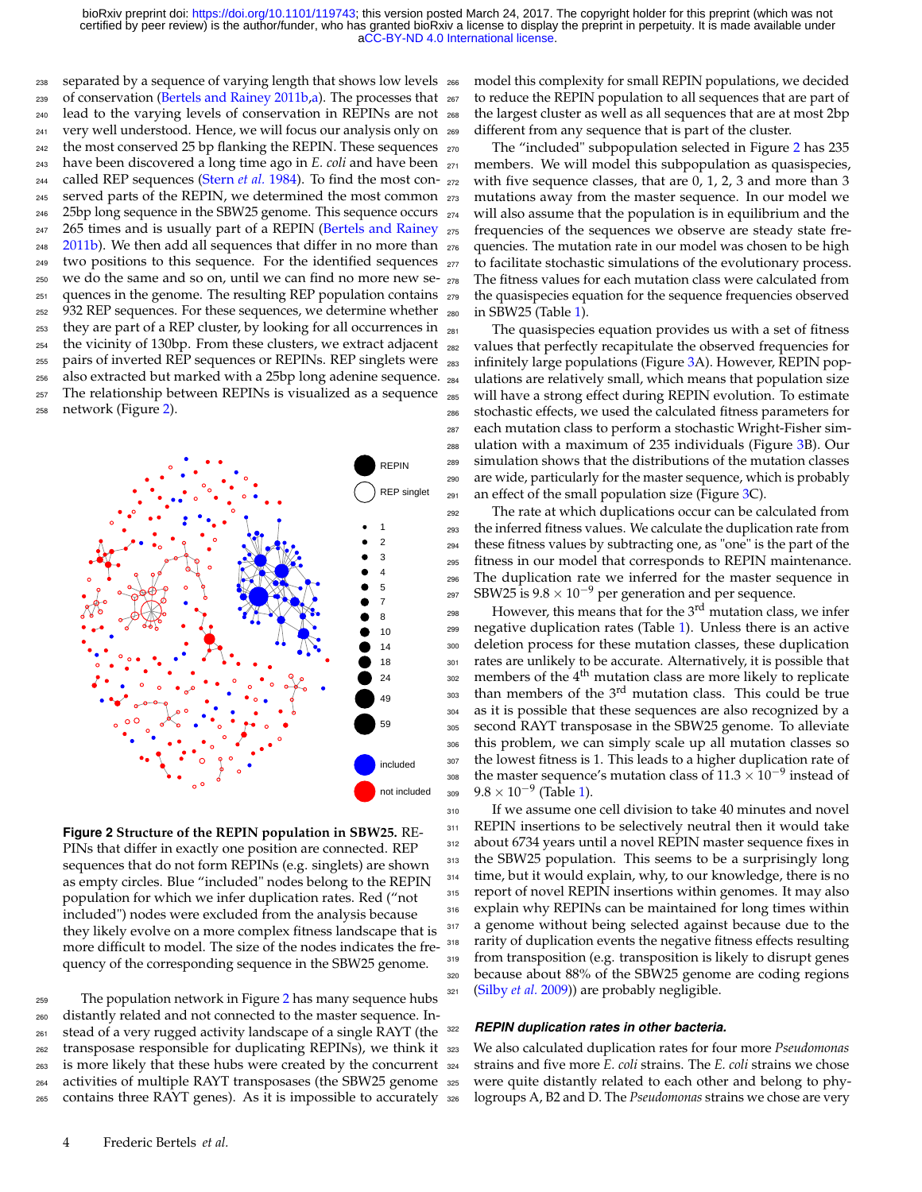238 separated by a sequence of varying length that shows low levels 266 239 of conservation [\(Bertels and Rainey 2011b](#page-7-4)[,a\)](#page-7-6). The processes that 267 lead to the varying levels of conservation in REPINs are not 241 very well understood. Hence, we will focus our analysis only on 269 <sup>242</sup> the most conserved 25 bp flanking the REPIN. These sequences  $_{270}$  have been discovered a long time ago in *E. coli* and have been called REP sequences [\(Stern](#page-8-10) *et al.* [1984\)](#page-8-10). To find the most con- served parts of the REPIN, we determined the most common 25bp long sequence in the SBW25 genome. This sequence occurs 247 265 times and is usually part of a REPIN [\(Bertels and Rainey](#page-7-4)  $2011b$ ). We then add all sequences that differ in no more than two positions to this sequence. For the identified sequences we do the same and so on, until we can find no more new se- quences in the genome. The resulting REP population contains 932 REP sequences. For these sequences, we determine whether they are part of a REP cluster, by looking for all occurrences in the vicinity of 130bp. From these clusters, we extract adjacent pairs of inverted REP sequences or REPINs. REP singlets were also extracted but marked with a 25bp long adenine sequence. The relationship between REPINs is visualized as a sequence network (Figure [2\)](#page-3-0).

<span id="page-3-0"></span>

**Figure 2 Structure of the REPIN population in SBW25.** RE-PINs that differ in exactly one position are connected. REP sequences that do not form REPINs (e.g. singlets) are shown as empty circles. Blue "included" nodes belong to the REPIN population for which we infer duplication rates. Red ("not included") nodes were excluded from the analysis because they likely evolve on a more complex fitness landscape that is more difficult to model. The size of the nodes indicates the frequency of the corresponding sequence in the SBW25 genome.

 The population network in Figure [2](#page-3-0) has many sequence hubs distantly related and not connected to the master sequence. In- stead of a very rugged activity landscape of a single RAYT (the transposase responsible for duplicating REPINs), we think it is more likely that these hubs were created by the concurrent activities of multiple RAYT transposases (the SBW25 genome contains three RAYT genes). As it is impossible to accurately model this complexity for small REPIN populations, we decided to reduce the REPIN population to all sequences that are part of the largest cluster as well as all sequences that are at most 2bp different from any sequence that is part of the cluster.

The "included" subpopulation selected in Figure [2](#page-3-0) has 235 members. We will model this subpopulation as quasispecies, with five sequence classes, that are  $0, 1, 2, 3$  and more than 3 mutations away from the master sequence. In our model we <sup>274</sup> will also assume that the population is in equilibrium and the <sup>275</sup> frequencies of the sequences we observe are steady state fre-<sup>276</sup> quencies. The mutation rate in our model was chosen to be high <sup>277</sup> to facilitate stochastic simulations of the evolutionary process. <sup>278</sup> The fitness values for each mutation class were calculated from <sup>279</sup> the quasispecies equation for the sequence frequencies observed <sup>280</sup> in SBW25 (Table [1\)](#page-4-0).

 The quasispecies equation provides us with a set of fitness values that perfectly recapitulate the observed frequencies for infinitely large populations (Figure [3A](#page-4-1)). However, REPIN pop- ulations are relatively small, which means that population size will have a strong effect during REPIN evolution. To estimate stochastic effects, we used the calculated fitness parameters for each mutation class to perform a stochastic Wright-Fisher sim- ulation with a maximum of 235 individuals (Figure [3B](#page-4-1)). Our simulation shows that the distributions of the mutation classes are wide, particularly for the master sequence, which is probably 291 an effect of the small population size (Figure  $3C$ ).

 The rate at which duplications occur can be calculated from the inferred fitness values. We calculate the duplication rate from these fitness values by subtracting one, as "one" is the part of the fitness in our model that corresponds to REPIN maintenance. The duplication rate we inferred for the master sequence in 297 SBW25 is  $9.8 \times 10^{-9}$  per generation and per sequence.

 $_{298}$  However, this means that for the  $3<sup>rd</sup>$  mutation class, we infer <sup>299</sup> negative duplication rates (Table [1\)](#page-4-0). Unless there is an active <sup>300</sup> deletion process for these mutation classes, these duplication 301 rates are unlikely to be accurate. Alternatively, it is possible that  $1002$  members of the  $4<sup>th</sup>$  mutation class are more likely to replicate 303 than members of the 3<sup>rd</sup> mutation class. This could be true <sup>304</sup> as it is possible that these sequences are also recognized by a <sup>305</sup> second RAYT transposase in the SBW25 genome. To alleviate <sup>306</sup> this problem, we can simply scale up all mutation classes so <sup>307</sup> the lowest fitness is 1. This leads to a higher duplication rate of <sup>308</sup> the master sequence's mutation class of  $11.3 \times 10^{-9}$  instead of <sub>309</sub> 9.8 × 10<sup>-9</sup> (Table [1\)](#page-4-0).

310 If we assume one cell division to take 40 minutes and novel 311 REPIN insertions to be selectively neutral then it would take <sup>312</sup> about 6734 years until a novel REPIN master sequence fixes in 313 the SBW25 population. This seems to be a surprisingly long 314 time, but it would explain, why, to our knowledge, there is no 315 report of novel REPIN insertions within genomes. It may also 316 explain why REPINs can be maintained for long times within 317 a genome without being selected against because due to the <sup>318</sup> rarity of duplication events the negative fitness effects resulting 319 from transposition (e.g. transposition is likely to disrupt genes <sup>320</sup> because about 88% of the SBW25 genome are coding regions <sup>321</sup> [\(Silby](#page-8-4) *et al.* [2009\)](#page-8-4)) are probably negligible.

# <sup>322</sup> *REPIN duplication rates in other bacteria.*

 We also calculated duplication rates for four more *Pseudomonas* strains and five more *E. coli* strains. The *E. coli* strains we chose were quite distantly related to each other and belong to phylogroups A, B2 and D. The *Pseudomonas* strains we chose are very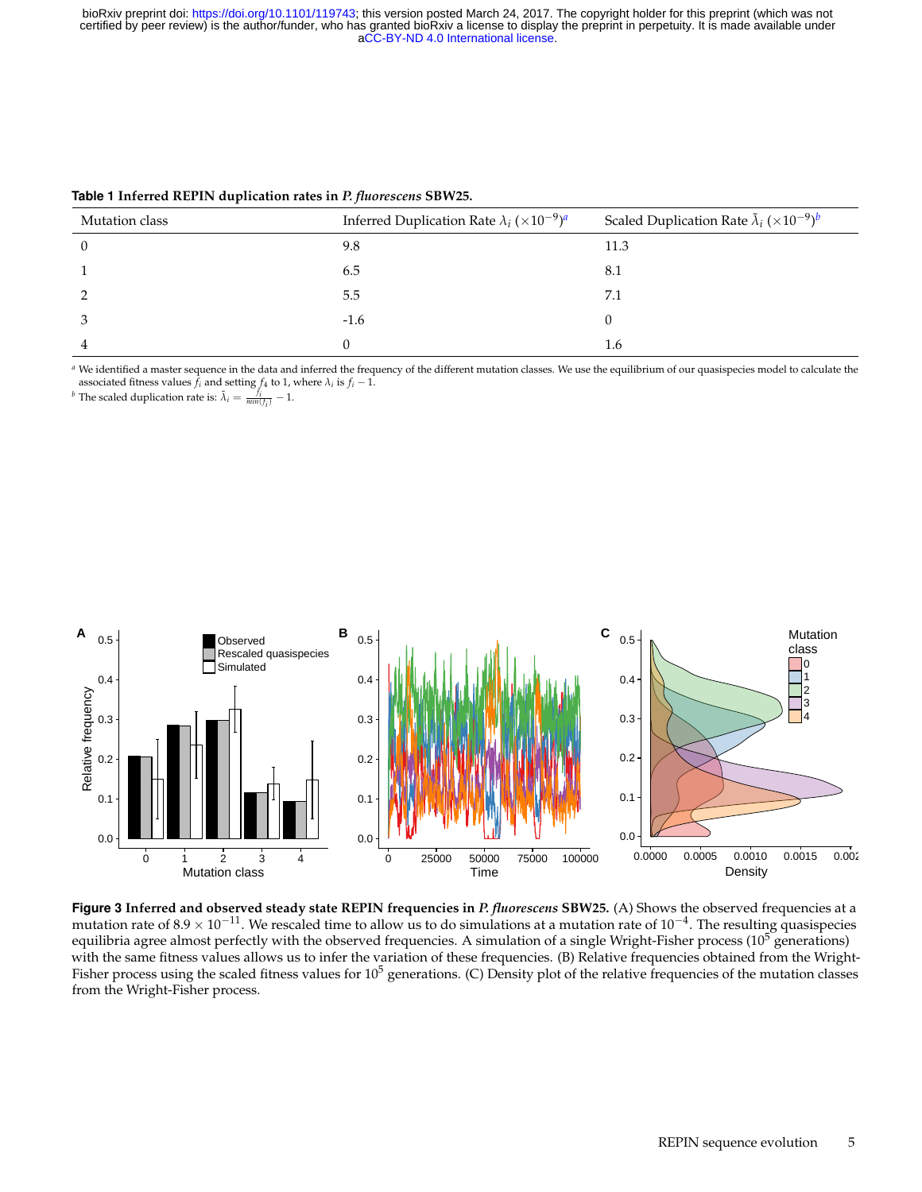| Mutation class | Inferred Duplication Rate $\lambda_i$ (×10 <sup>-9</sup> ) <sup><i>a</i></sup> | Scaled Duplication Rate $\tilde{\lambda}_i$ ( $\times 10^{-9}$ ) <sup>b</sup> |
|----------------|--------------------------------------------------------------------------------|-------------------------------------------------------------------------------|
|                | 9.8                                                                            | 11.3                                                                          |
|                | 6.5                                                                            | 8.1                                                                           |
|                | 5.5                                                                            | 7.1                                                                           |
|                | $-1.6$                                                                         |                                                                               |
|                |                                                                                | 1.6                                                                           |

<span id="page-4-0"></span>**Table 1 Inferred REPIN duplication rates in** *P. fluorescens* **SBW25.**

*<sup>a</sup>* We identified a master sequence in the data and inferred the frequency of the different mutation classes. We use the equilibrium of our quasispecies model to calculate the associated fitness values  $\bar{f}_i$  and setting  $f_4$  to 1, where  $\lambda_i$  is  $f_i - 1$ .

*b* The scaled duplication rate is:  $\tilde{\lambda}_i = \frac{f_i}{min(f_i)} - 1$ .

<span id="page-4-1"></span>

**Figure 3 Inferred and observed steady state REPIN frequencies in** *P. fluorescens* **SBW25.** (A) Shows the observed frequencies at a mutation rate of 8.9  $\times$  10<sup>-11</sup>. We rescaled time to allow us to do simulations at a mutation rate of 10<sup>-4</sup>. The resulting quasispecies equilibria agree almost perfectly with the observed frequencies. A simulation of a single Wright-Fisher process  $(10^5$  generations) with the same fitness values allows us to infer the variation of these frequencies. (B) Relative frequencies obtained from the Wright-Fisher process using the scaled fitness values for  $10^5$  generations. (C) Density plot of the relative frequencies of the mutation classes from the Wright-Fisher process.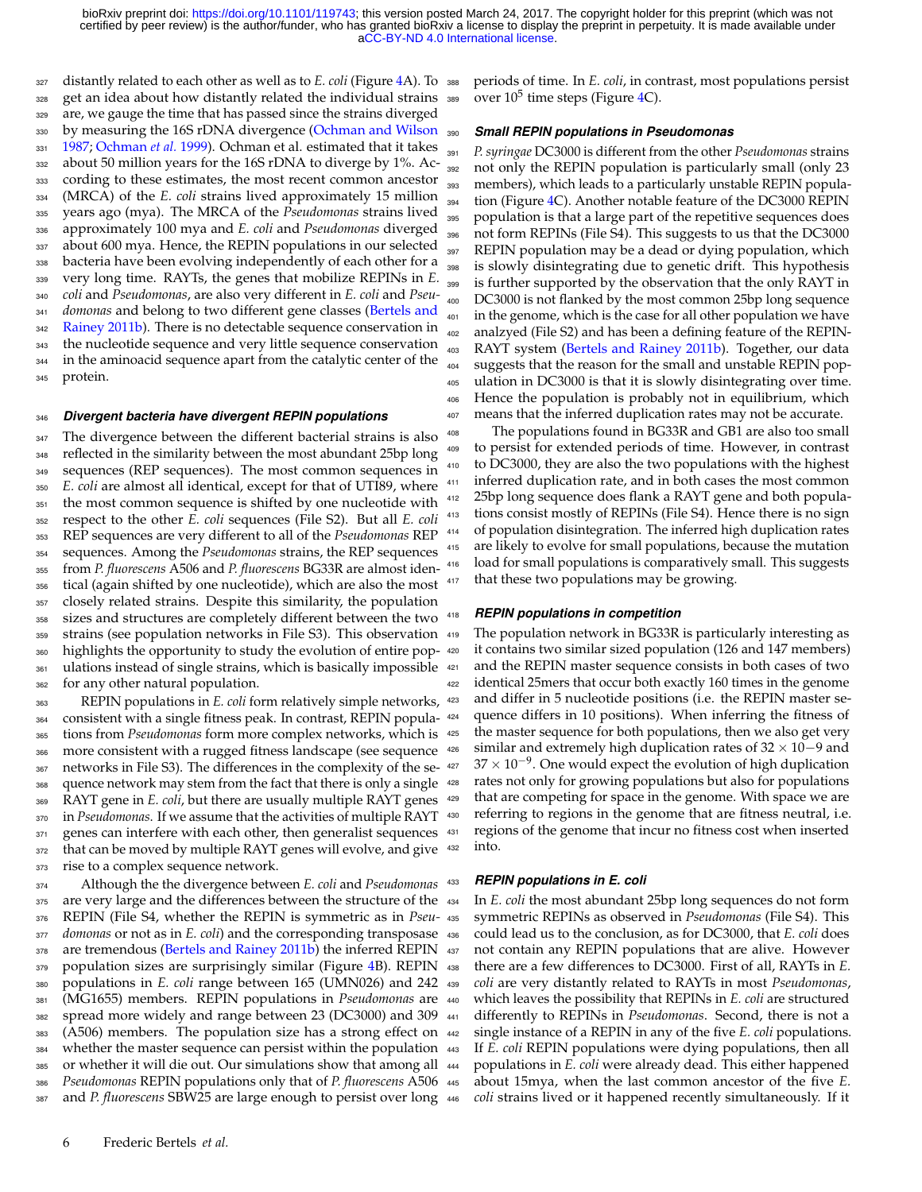distantly related to each other as well as to *E. coli* (Figure [4A](#page-6-0)). To get an idea about how distantly related the individual strains are, we gauge the time that has passed since the strains diverged by measuring the 16S rDNA divergence [\(Ochman and Wilson](#page-8-11) [1987;](#page-8-11) [Ochman](#page-8-12) *et al.* [1999\)](#page-8-12). Ochman et al. estimated that it takes 332 about 50 million years for the 16S rDNA to diverge by 1%. Ac- cording to these estimates, the most recent common ancestor (MRCA) of the *E. coli* strains lived approximately 15 million years ago (mya). The MRCA of the *Pseudomonas* strains lived approximately 100 mya and *E. coli* and *Pseudomonas* diverged about 600 mya. Hence, the REPIN populations in our selected bacteria have been evolving independently of each other for a very long time. RAYTs, the genes that mobilize REPINs in *E. coli* and *Pseudomonas*, are also very different in *E. coli* and *Pseu- [d](#page-7-4)omonas* and belong to two different gene classes [\(Bertels and](#page-7-4) [Rainey 2011b\)](#page-7-4). There is no detectable sequence conservation in the nucleotide sequence and very little sequence conservation in the aminoacid sequence apart from the catalytic center of the protein.

#### *Divergent bacteria have divergent REPIN populations*

347 The divergence between the different bacterial strains is also reflected in the similarity between the most abundant 25bp long sequences (REP sequences). The most common sequences in *E. coli* are almost all identical, except for that of UTI89, where 351 the most common sequence is shifted by one nucleotide with respect to the other *E. coli* sequences (File S2). But all *E. coli* REP sequences are very different to all of the *Pseudomonas* REP sequences. Among the *Pseudomonas* strains, the REP sequences from *P. fluorescens* A506 and *P. fluorescens* BG33R are almost iden- tical (again shifted by one nucleotide), which are also the most closely related strains. Despite this similarity, the population sizes and structures are completely different between the two strains (see population networks in File S3). This observation highlights the opportunity to study the evolution of entire pop- ulations instead of single strains, which is basically impossible for any other natural population.

 REPIN populations in *E. coli* form relatively simple networks, consistent with a single fitness peak. In contrast, REPIN popula- tions from *Pseudomonas* form more complex networks, which is more consistent with a rugged fitness landscape (see sequence 367 networks in File S3). The differences in the complexity of the se- quence network may stem from the fact that there is only a single RAYT gene in *E. coli*, but there are usually multiple RAYT genes in *Pseudomonas*. If we assume that the activities of multiple RAYT 371 genes can interfere with each other, then generalist sequences that can be moved by multiple RAYT genes will evolve, and give rise to a complex sequence network.

 Although the the divergence between *E. coli* and *Pseudomonas* 375 are very large and the differences between the structure of the REPIN (File S4, whether the REPIN is symmetric as in *Pseu- domonas* or not as in *E. coli*) and the corresponding transposase 378 are tremendous [\(Bertels and Rainey 2011b\)](#page-7-4) the inferred REPIN 379 population sizes are surprisingly similar (Figure [4B](#page-6-0)). REPIN populations in *E. coli* range between 165 (UMN026) and 242 (MG1655) members. REPIN populations in *Pseudomonas* are spread more widely and range between 23 (DC3000) and 309 (A506) members. The population size has a strong effect on 384 whether the master sequence can persist within the population 443 385 or whether it will die out. Our simulations show that among all 444 *Pseudomonas* REPIN populations only that of *P. fluorescens* A506 and *P. fluorescens* SBW25 are large enough to persist over long

 periods of time. In *E. coli*, in contrast, most populations persist 389 over  $10^5$  time steps (Figure  $4C$ ).

#### *Small REPIN populations in Pseudomonas*

 *P. syringae* DC3000 is different from the other *Pseudomonas* strains not only the REPIN population is particularly small (only 23 members), which leads to a particularly unstable REPIN popula-<sup>394</sup> tion (Figure [4C](#page-6-0)). Another notable feature of the DC3000 REPIN population is that a large part of the repetitive sequences does not form REPINs (File S4). This suggests to us that the DC3000 REPIN population may be a dead or dying population, which is slowly disintegrating due to genetic drift. This hypothesis is further supported by the observation that the only RAYT in DC3000 is not flanked by the most common 25bp long sequence in the genome, which is the case for all other population we have analzyed (File S2) and has been a defining feature of the REPIN-403 RAYT system [\(Bertels and Rainey 2011b\)](#page-7-4). Together, our data suggests that the reason for the small and unstable REPIN pop- ulation in DC3000 is that it is slowly disintegrating over time. Hence the population is probably not in equilibrium, which means that the inferred duplication rates may not be accurate.

 The populations found in BG33R and GB1 are also too small to persist for extended periods of time. However, in contrast to DC3000, they are also the two populations with the highest inferred duplication rate, and in both cases the most common 25bp long sequence does flank a RAYT gene and both popula- tions consist mostly of REPINs (File S4). Hence there is no sign of population disintegration. The inferred high duplication rates are likely to evolve for small populations, because the mutation load for small populations is comparatively small. This suggests 417 that these two populations may be growing.

#### *REPIN populations in competition*

The population network in BG33R is particularly interesting as it contains two similar sized population (126 and 147 members) and the REPIN master sequence consists in both cases of two identical 25mers that occur both exactly 160 times in the genome and differ in 5 nucleotide positions (i.e. the REPIN master se- quence differs in 10 positions). When inferring the fitness of <sup>425</sup> the master sequence for both populations, then we also get very similar and extremely high duplication rates of 32 × 10−9 and  $427 \times 10^{-9}$ . One would expect the evolution of high duplication rates not only for growing populations but also for populations that are competing for space in the genome. With space we are referring to regions in the genome that are fitness neutral, i.e. regions of the genome that incur no fitness cost when inserted into.

#### *REPIN populations in E. coli*

 In *E. coli* the most abundant 25bp long sequences do not form symmetric REPINs as observed in *Pseudomonas* (File S4). This could lead us to the conclusion, as for DC3000, that *E. coli* does not contain any REPIN populations that are alive. However there are a few differences to DC3000. First of all, RAYTs in *E. coli* are very distantly related to RAYTs in most *Pseudomonas*, which leaves the possibility that REPINs in *E. coli* are structured differently to REPINs in *Pseudomonas*. Second, there is not a single instance of a REPIN in any of the five *E. coli* populations. If *E. coli* REPIN populations were dying populations, then all populations in *E. coli* were already dead. This either happened about 15mya, when the last common ancestor of the five *E*. coli strains lived or it happened recently simultaneously. If it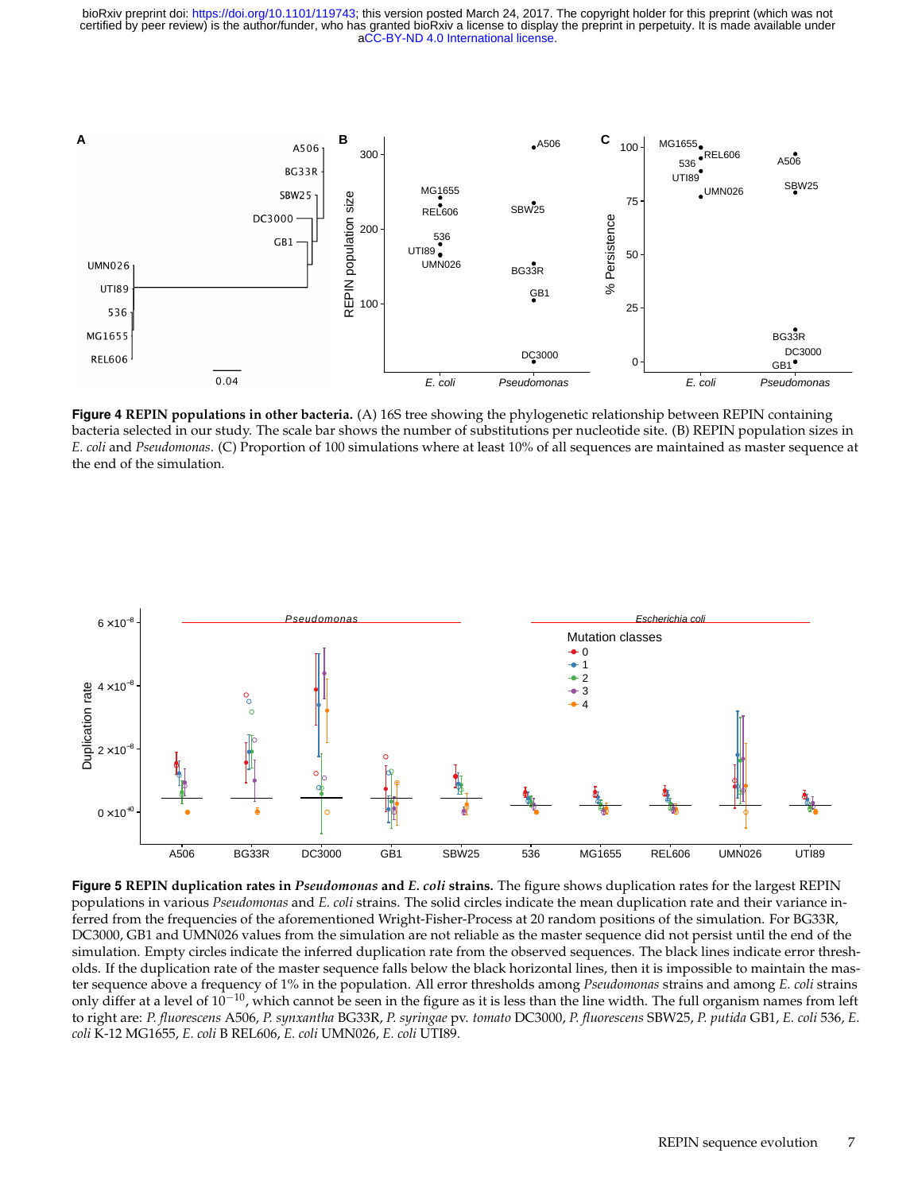<span id="page-6-0"></span>

**Figure 4 REPIN populations in other bacteria.** (A) 16S tree showing the phylogenetic relationship between REPIN containing bacteria selected in our study. The scale bar shows the number of substitutions per nucleotide site. (B) REPIN population sizes in *E. coli* and *Pseudomonas*. (C) Proportion of 100 simulations where at least 10% of all sequences are maintained as master sequence at the end of the simulation.

<span id="page-6-1"></span>

**Figure 5 REPIN duplication rates in** *Pseudomonas* **and** *E. coli* **strains.** The figure shows duplication rates for the largest REPIN populations in various *Pseudomonas* and *E. coli* strains. The solid circles indicate the mean duplication rate and their variance inferred from the frequencies of the aforementioned Wright-Fisher-Process at 20 random positions of the simulation. For BG33R, DC3000, GB1 and UMN026 values from the simulation are not reliable as the master sequence did not persist until the end of the simulation. Empty circles indicate the inferred duplication rate from the observed sequences. The black lines indicate error thresholds. If the duplication rate of the master sequence falls below the black horizontal lines, then it is impossible to maintain the master sequence above a frequency of 1% in the population. All error thresholds among *Pseudomonas* strains and among *E. coli* strains only differ at a level of  $10^{-10}$ , which cannot be seen in the figure as it is less than the line width. The full organism names from left to right are: *P. fluorescens* A506, *P. synxantha* BG33R, *P. syringae* pv. *tomato* DC3000, *P. fluorescens* SBW25, *P. putida* GB1, *E. coli* 536, *E. coli* K-12 MG1655, *E. coli* B REL606, *E. coli* UMN026, *E. coli* UTI89.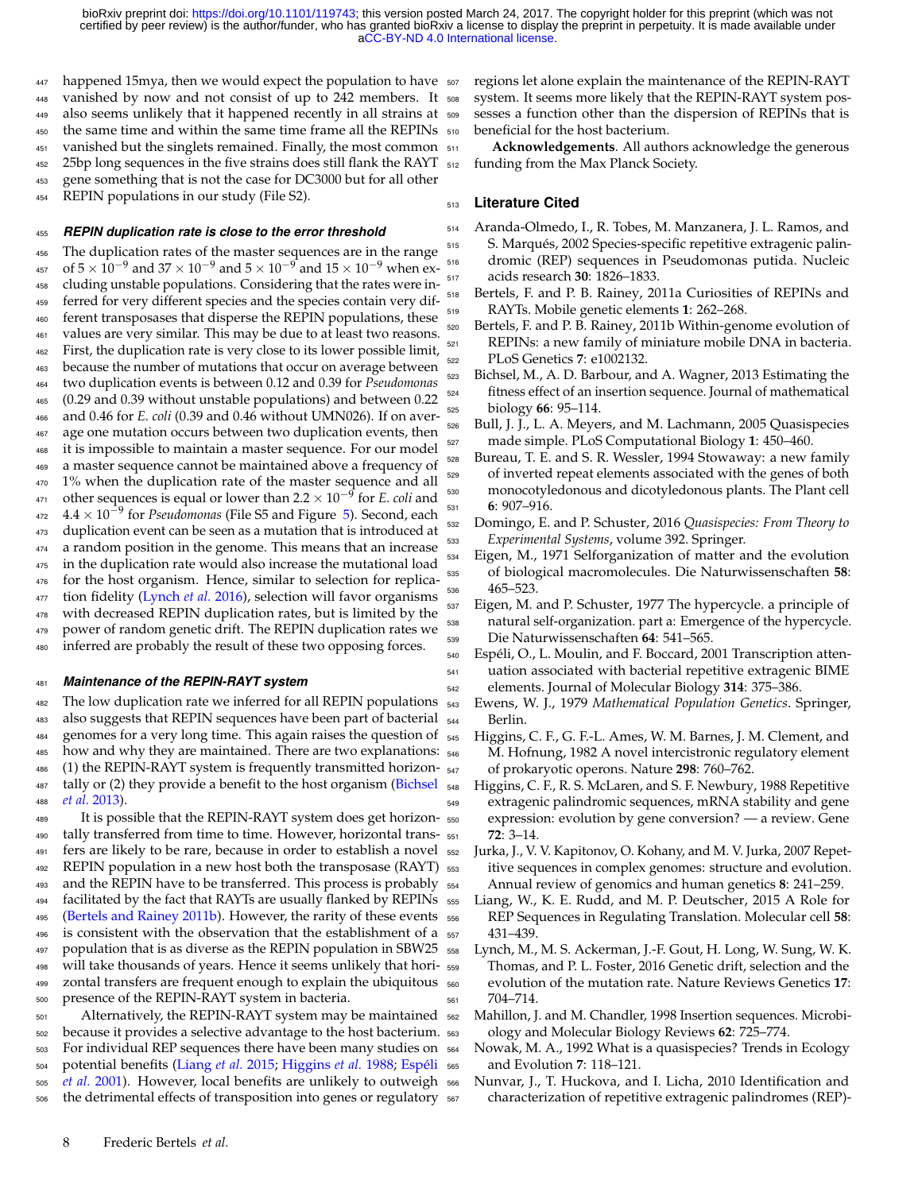447 happened 15mya, then we would expect the population to have vanished by now and not consist of up to 242 members. It also seems unlikely that it happened recently in all strains at 450 the same time and within the same time frame all the REPINs 510 451 vanished but the singlets remained. Finally, the most common  $_{511}$  25bp long sequences in the five strains does still flank the RAYT gene something that is not the case for DC3000 but for all other REPIN populations in our study (File S2).

# *REPIN duplication rate is close to the error threshold*

 The duplication rates of the master sequences are in the range 457 of  $5 \times 10^{-9}$  and  $37 \times 10^{-9}$  and  $5 \times 10^{-9}$  and  $15 \times 10^{-9}$  when ex- cluding unstable populations. Considering that the rates were in- ferred for very different species and the species contain very dif- ferent transposases that disperse the REPIN populations, these values are very similar. This may be due to at least two reasons. First, the duplication rate is very close to its lower possible limit, because the number of mutations that occur on average between two duplication events is between 0.12 and 0.39 for *Pseudomonas* (0.29 and 0.39 without unstable populations) and between 0.22 and 0.46 for *E. coli* (0.39 and 0.46 without UMN026). If on aver- age one mutation occurs between two duplication events, then it is impossible to maintain a master sequence. For our model a master sequence cannot be maintained above a frequency of 1% when the duplication rate of the master sequence and all other sequences is equal or lower than 2.2  $\times$  10<sup>-9</sup> for *E. coli* and **4.4** × 10<sup>-9</sup> for *Pseudomonas* (File S5 and Figure [5\)](#page-6-1). Second, each duplication event can be seen as a mutation that is introduced at a random position in the genome. This means that an increase 475 in the duplication rate would also increase the mutational load for the host organism. Hence, similar to selection for replica-477 tion fidelity [\(Lynch](#page-7-14) *et al.* [2016\)](#page-7-14), selection will favor organisms with decreased REPIN duplication rates, but is limited by the power of random genetic drift. The REPIN duplication rates we inferred are probably the result of these two opposing forces.

#### *Maintenance of the REPIN-RAYT system*

 The low duplication rate we inferred for all REPIN populations also suggests that REPIN sequences have been part of bacterial genomes for a very long time. This again raises the question of 485 how and why they are maintained. There are two explanations:  $_{546}$  (1) the REPIN-RAYT system is frequently transmitted horizon- $547$ [t](#page-7-15)ally or (2) they provide a benefit to the host organism [\(Bichsel](#page-7-15) *[et al.](#page-7-15)* [2013\)](#page-7-15).

It is possible that the REPIN-RAYT system does get horizon- tally transferred from time to time. However, horizontal trans- fers are likely to be rare, because in order to establish a novel REPIN population in a new host both the transposase (RAYT) and the REPIN have to be transferred. This process is probably facilitated by the fact that RAYTs are usually flanked by REPINs [\(Bertels and Rainey 2011b\)](#page-7-4). However, the rarity of these events is consistent with the observation that the establishment of a population that is as diverse as the REPIN population in SBW25 will take thousands of years. Hence it seems unlikely that hori- zontal transfers are frequent enough to explain the ubiquitous presence of the REPIN-RAYT system in bacteria.

 Alternatively, the REPIN-RAYT system may be maintained because it provides a selective advantage to the host bacterium. For individual REP sequences there have been many studies on [p](#page-7-18)otential benefits [\(Liang](#page-7-16) *et al.* [2015;](#page-7-16) [Higgins](#page-7-17) *et al.* [1988;](#page-7-17) [Espéli](#page-7-18) *[et al.](#page-7-18)* [2001\)](#page-7-18). However, local benefits are unlikely to outweigh the detrimental effects of transposition into genes or regulatory

 regions let alone explain the maintenance of the REPIN-RAYT system. It seems more likely that the REPIN-RAYT system pos- sesses a function other than the dispersion of REPINs that is beneficial for the host bacterium.

Acknowledgements. All authors acknowledge the generous funding from the Max Planck Society.

## **Literature Cited**

- <span id="page-7-7"></span> Aranda-Olmedo, I., R. Tobes, M. Manzanera, J. L. Ramos, and S. Marqués, 2002 Species-specific repetitive extragenic palin- dromic (REP) sequences in Pseudomonas putida. Nucleic acids research **30**: 1826–1833.
- <span id="page-7-6"></span> Bertels, F. and P. B. Rainey, 2011a Curiosities of REPINs and RAYTs. Mobile genetic elements **1**: 262–268.
- <span id="page-7-4"></span> Bertels, F. and P. B. Rainey, 2011b Within-genome evolution of 521 REPINs: a new family of miniature mobile DNA in bacteria. PLoS Genetics **7**: e1002132.
- <span id="page-7-15"></span> Bichsel, M., A. D. Barbour, and A. Wagner, 2013 Estimating the fitness effect of an insertion sequence. Journal of mathematical biology **66**: 95–114.
- <span id="page-7-12"></span> Bull, J. J., L. A. Meyers, and M. Lachmann, 2005 Quasispecies made simple. PLoS Computational Biology **1**: 450–460.
- <span id="page-7-2"></span> Bureau, T. E. and S. R. Wessler, 1994 Stowaway: a new family of inverted repeat elements associated with the genes of both monocotyledonous and dicotyledonous plants. The Plant cell **6**: 907–916.
- <span id="page-7-11"></span> Domingo, E. and P. Schuster, 2016 *Quasispecies: From Theory to Experimental Systems*, volume 392. Springer.
- <span id="page-7-8"></span> Eigen, M., 1971 Selforganization of matter and the evolution of biological macromolecules. Die Naturwissenschaften **58**: 465–523.
- <span id="page-7-9"></span> Eigen, M. and P. Schuster, 1977 The hypercycle. a principle of natural self-organization. part a: Emergence of the hypercycle. Die Naturwissenschaften **64**: 541–565.
- <span id="page-7-18"></span> Espéli, O., L. Moulin, and F. Boccard, 2001 Transcription atten- uation associated with bacterial repetitive extragenic BIME elements. Journal of Molecular Biology **314**: 375–386.
- <span id="page-7-13"></span> Ewens, W. J., 1979 *Mathematical Population Genetics*. Springer, Berlin.
- <span id="page-7-3"></span> Higgins, C. F., G. F.-L. Ames, W. M. Barnes, J. M. Clement, and M. Hofnung, 1982 A novel intercistronic regulatory element of prokaryotic operons. Nature **298**: 760–762.
- <span id="page-7-17"></span> Higgins, C. F., R. S. McLaren, and S. F. Newbury, 1988 Repetitive extragenic palindromic sequences, mRNA stability and gene expression: evolution by gene conversion? — a review. Gene **72**: 3–14.
- <span id="page-7-0"></span> Jurka, J., V. V. Kapitonov, O. Kohany, and M. V. Jurka, 2007 Repet- itive sequences in complex genomes: structure and evolution. Annual review of genomics and human genetics **8**: 241–259.
- <span id="page-7-16"></span> Liang, W., K. E. Rudd, and M. P. Deutscher, 2015 A Role for REP Sequences in Regulating Translation. Molecular cell **58**: 431–439.
- <span id="page-7-14"></span> Lynch, M., M. S. Ackerman, J.-F. Gout, H. Long, W. Sung, W. K. Thomas, and P. L. Foster, 2016 Genetic drift, selection and the evolution of the mutation rate. Nature Reviews Genetics **17**: 704-714.
- <span id="page-7-1"></span> Mahillon, J. and M. Chandler, 1998 Insertion sequences. Microbi-ology and Molecular Biology Reviews **62**: 725–774.
- <span id="page-7-10"></span> Nowak, M. A., 1992 What is a quasispecies? Trends in Ecology and Evolution **7**: 118–121.
- <span id="page-7-5"></span> Nunvar, J., T. Huckova, and I. Licha, 2010 Identification and characterization of repetitive extragenic palindromes (REP)-